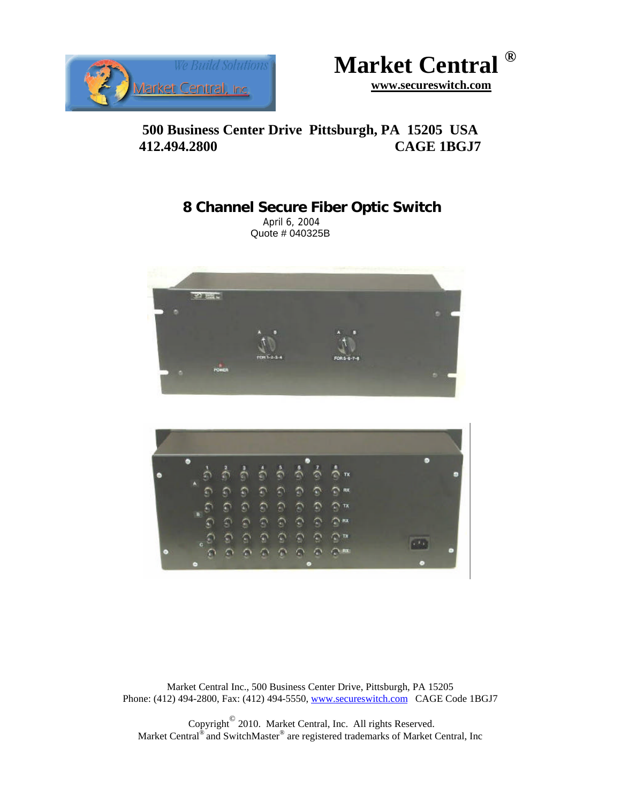



# **500 Business Center Drive Pittsburgh, PA 15205 USA 412.494.2800 CAGE 1BGJ7**

# **8 Channel Secure Fiber Optic Switch**

 April 6, 2004 Quote # 040325B





Market Central Inc., 500 Business Center Drive, Pittsburgh, PA 15205 Phone: (412) 494-2800, Fax: (412) 494-5550, www.secureswitch.com CAGE Code 1BGJ7

 Copyright© 2010. Market Central, Inc. All rights Reserved. Market Central<sup>®</sup> and SwitchMaster<sup>®</sup> are registered trademarks of Market Central, Inc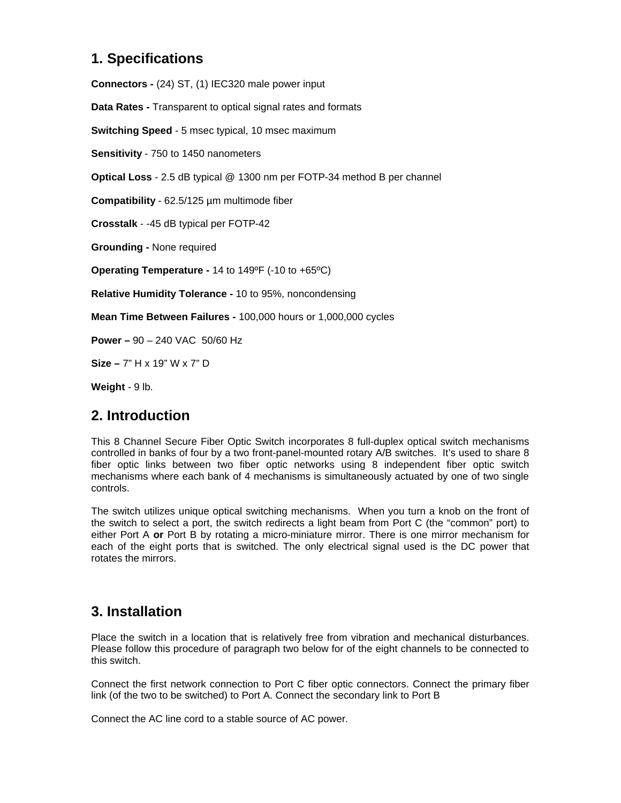## **1. Specifications**

**Connectors -** (24) ST, (1) IEC320 male power input

**Data Rates -** Transparent to optical signal rates and formats

**Switching Speed** - 5 msec typical, 10 msec maximum

**Sensitivity** - 750 to 1450 nanometers

**Optical Loss** - 2.5 dB typical @ 1300 nm per FOTP-34 method B per channel

**Compatibility** - 62.5/125 µm multimode fiber

**Crosstalk** - -45 dB typical per FOTP-42

**Grounding -** None required

**Operating Temperature -** 14 to 149ºF (-10 to +65ºC)

**Relative Humidity Tolerance -** 10 to 95%, noncondensing

**Mean Time Between Failures -** 100,000 hours or 1,000,000 cycles

**Power –** 90 – 240 VAC 50/60 Hz

**Size –** 7" H x 19" W x 7" D

**Weight** - 9 lb.

### **2. Introduction**

This 8 Channel Secure Fiber Optic Switch incorporates 8 full-duplex optical switch mechanisms controlled in banks of four by a two front-panel-mounted rotary A/B switches. It's used to share 8 fiber optic links between two fiber optic networks using 8 independent fiber optic switch mechanisms where each bank of 4 mechanisms is simultaneously actuated by one of two single controls.

The switch utilizes unique optical switching mechanisms. When you turn a knob on the front of the switch to select a port, the switch redirects a light beam from Port C (the "common" port) to either Port A **or** Port B by rotating a micro-miniature mirror. There is one mirror mechanism for each of the eight ports that is switched. The only electrical signal used is the DC power that rotates the mirrors.

### **3. Installation**

Place the switch in a location that is relatively free from vibration and mechanical disturbances. Please follow this procedure of paragraph two below for of the eight channels to be connected to this switch.

Connect the first network connection to Port C fiber optic connectors. Connect the primary fiber link (of the two to be switched) to Port A. Connect the secondary link to Port B

Connect the AC line cord to a stable source of AC power.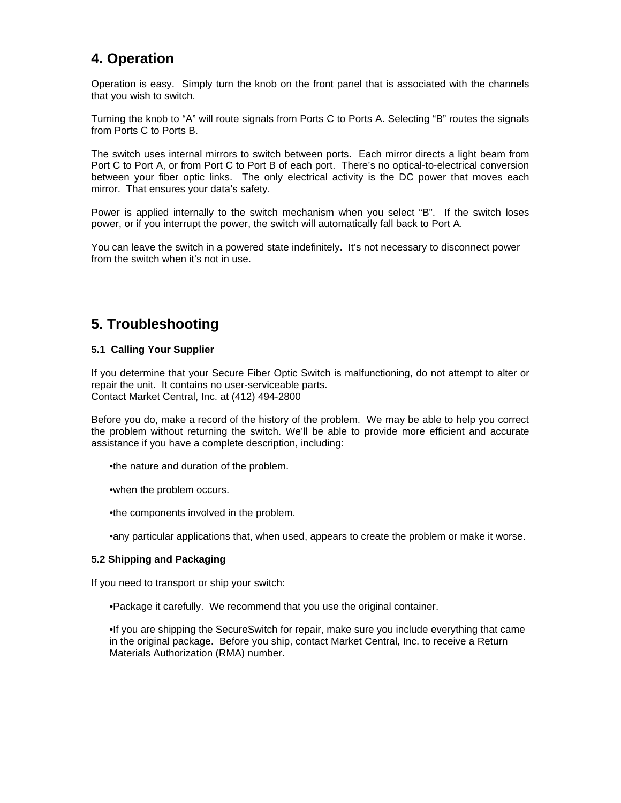# **4. Operation**

Operation is easy. Simply turn the knob on the front panel that is associated with the channels that you wish to switch.

Turning the knob to "A" will route signals from Ports C to Ports A. Selecting "B" routes the signals from Ports C to Ports B.

The switch uses internal mirrors to switch between ports. Each mirror directs a light beam from Port C to Port A, or from Port C to Port B of each port. There's no optical-to-electrical conversion between your fiber optic links. The only electrical activity is the DC power that moves each mirror. That ensures your data's safety.

Power is applied internally to the switch mechanism when you select "B". If the switch loses power, or if you interrupt the power, the switch will automatically fall back to Port A.

You can leave the switch in a powered state indefinitely. It's not necessary to disconnect power from the switch when it's not in use.

### **5. Troubleshooting**

#### **5.1 Calling Your Supplier**

If you determine that your Secure Fiber Optic Switch is malfunctioning, do not attempt to alter or repair the unit. It contains no user-serviceable parts. Contact Market Central, Inc. at (412) 494-2800

Before you do, make a record of the history of the problem. We may be able to help you correct the problem without returning the switch. We'll be able to provide more efficient and accurate assistance if you have a complete description, including:

•the nature and duration of the problem.

•when the problem occurs.

•the components involved in the problem.

•any particular applications that, when used, appears to create the problem or make it worse.

#### **5.2 Shipping and Packaging**

If you need to transport or ship your switch:

•Package it carefully. We recommend that you use the original container.

•If you are shipping the SecureSwitch for repair, make sure you include everything that came in the original package. Before you ship, contact Market Central, Inc. to receive a Return Materials Authorization (RMA) number.